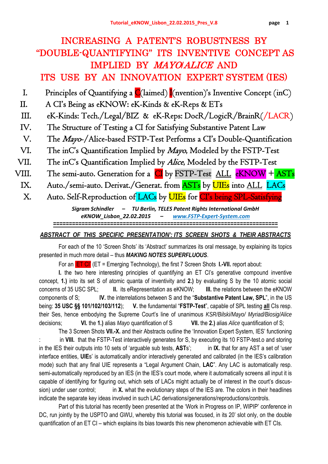# INCREASING A PATENT'S ROBUSTNESS BY "DOUBLE-QUANTIFYING" ITS INVENTIVE CONCEPT AS IMPLIED BY MAYO/ALICE AND ITS USE BY AN INNOVATION EXPERT SYSTEM (IES)

- I. Principles of Quantifying a  $C(\text{laimed})$  I(nvention)'s Inventive Concept (inC)
- II. A CI's Being as eKNOW: eK-Kinds & eK-Reps & ETs
- III. eK-Kinds: Tech./Legal/BIZ & eK-Reps: DocR/LogicR/BrainR(/LACR)
- IV. The Structure of Testing a CI for Satisfying Substantive Patent Law
- V. The Mayo-/Alice-based FSTP-Test Performs a CI's Double-Quantification
- VI. The inC's Quantification Implied by Mayo, Modeled by the FSTP-Test
- VII. The inC's Quantification Implied by *Alice*, Modeled by the FSTP-Test
- VIII. The semi-auto. Generation for a CI by FSTP-Test ALL eKNOW + ASTs
- IX. Auto./semi-auto. Derivat./Generat. from ASTs by UIEs into ALL LACs

X. Auto. Self-Reproduction of LACs by **UIEs** for CI's being SPL-Satisfying

*Sigram Schindler – TU Berlin, TELES Patent Rights International GmbH eKNOW\_Lisbon\_22.02.2015 – www.FSTP‐Expert‐System.com*

*=======================================================================*

### *ABSTRACT OF THIS SPECIFIC PRESENTATION': ITS SCREEN SHOTS & THEIR ABSTRACTS*

For each of the 10 'Screen Shots' its 'Abstract' summarizes its oral message, by explaining its topics presented in much more detail – thus *MAKING NOTES SUPERFLUOUS*.

For an ET CI' (ET = Emerging Technology), the first 7 Screen Shots **I.-VII.** report about:

**I.** the two here interesting principles of quantifying an ET CI's generative compound inventive concept, **1.)** into its set S of atomic quanta of inventivity and **2.)** by evaluating S by the 10 atomic social concerns of 35 USC SPL; **II.** its eRepresentation as eKNOW; **III.** the relations between the eKNOW components of S; **IV.** the interrelations between S and the "**Substantive Patent Law, SPL**", in the US being: **35 USC §§ 101/102/103/112**); **V.** the fundamental "**FSTP-Test**", capable of SPL testing **all** CIs resp. their Ses, hence embodying the Supreme Court's line of unanimous *KSR/Bilski/Mayo/ Myriad/Biosig/Alice* decisions; **VI.** the **1.)** alias *Mayo* quantification of S **VII.** the **2.)** alias *Alice* quantification of S;

The 3 Screen Shots **VII.-X.** and their Abstracts outline the 'Innovation Expert System, IES' functioning in VIII. that the FSTP-Test interactively generates for S, by executing its 10 FSTP-test.o and storing in the IES their outputs into 10 sets of 'arguable sub tests, **AST**s'; in **IX.** that for any AST a set of 'user interface entities, **UIE**s' is automatically and/or interactively generated and calibrated (in the IES's calibration mode) such that any final UIE represents a "Legal Argument Chain, **LAC**". Any LAC is automatically resp. semi-automatically reproduced by an IES (in the IES's court mode, where it automatically screens all input it is capable of identifying for figuring out, which sets of LACs might actually be of interest in the court's discussion) under user control; in **X.** what the evolutionary steps of the IES are. The colors in their headlines indicate the separate key ideas involved in such LAC derivations/generations/reproductions/controls.

Part of this tutorial has recently been presented at the 'Work in Progress on IP, WIPIP' conference in DC, run jointly by the USPTO and GWU, whereby this tutorial was focused, in its 20' slot only, on the double quantification of an ET CI – which explains its bias towards this new phenomenon achievable with ET CIs.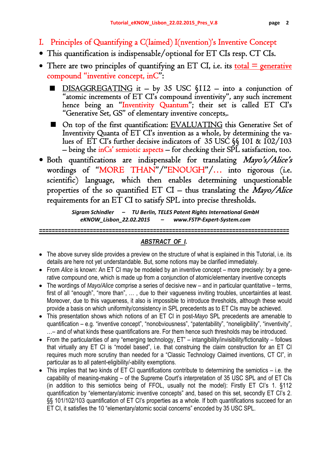- I. Principles of Quantifying a C(laimed) I(nvention)'s Inventive Concept
- This quantification is indispensable/optional for ET CIs resp. CT CIs.
- There are two principles of quantifying an ET CI, i.e. its  $\frac{\text{total}}{\text{total}} = \frac{\text{generative}}{\text{energy}}$ compound "inventive concept, inC":
	- DISAGGREGATING it by 35 USC §112 into a conjunction of "atomic increments of ET CI's compound inventivity", any such increment hence being an "Inventivity Quantum"; their set is called ET CI's "Generative Set, GS" of elementary inventive concepts,.
	- On top of the first quantification: EVALUATING this Generative Set of Inventivity Quanta of ET CI's invention as a whole, by determining the values of ET CI's further decisive indicators of 35 USC §§ 101 & 102/103 – being the inCs' semiotic aspects – for checking their  $SPL$  satisfaction, too.
- Both quantifications are indispensable for translating *Mayo's/Alice's* wordings of "MORE THAN"/"ENOUGH"/… into rigorous (i.e. scientific) language, which then enables determining unquestionable properties of the so quantified ET CI – thus translating the  $Mavo/Alice$ requirements for an ET CI to satisfy SPL into precise thresholds.

*Sigram Schindler – TU Berlin, TELES Patent Rights International GmbH eKNOW\_Lisbon\_22.02.2015 – www.FSTP‐Expert‐System.com*

*=============================================================================== ABSTRACT OF I.*

- The above survey slide provides a preview on the structure of what is explained in this Tutorial, i.e. its details are here not yet understandable. But, some notions may be clarified immediately.
- From *Alice* is known: An ET CI may be modeled by an inventive concept more precisely: by a generative compound one, which is made up from a conjunction of atomic/elementary inventive concepts
- The wordings of *Mayo/Alice* comprise a series of decisive new and in particular quantitative terms, first of all "enough", "more than", … , due to their vagueness inviting troubles, uncertainties at least. Moreover, due to this vagueness, it also is impossible to introduce thresholds, although these would provide a basis on which uniformity/consistency in SPL precedents as to ET CIs may be achieved.
- This presentation shows which notions of an ET CI in post-*Mayo* SPL precedents are amenable to quantification – e.g. "inventive concept", "nonobviousness", "patentability", "noneligibility", "inventivity", …– and of what kinds these quantifications are. For them hence such thresholds may be introduced.
- From the particularities of any "emerging technology, ET" intangibility/invisibility/fictionality follows that virtually any ET CI is "model based", i.e. that construing the claim construction for an ET CI requires much more scrutiny than needed for a "Classic Technology Claimed inventions, CT CI", in particular as to all patent-eligibility/-ability exemptions.
- This implies that two kinds of ET CI quantifications contribute to determining the semiotics i.e. the capability of meaning-making – of the Supreme Court's interpretation of 35 USC SPL and of ET CIs (in addition to this semiotics being of FFOL, usually not the model): Firstly ET CI's 1. §112 quantification by "elementary/atomic inventive concepts" and, based on this set, secondly ET CI's 2. §§ 101/102/103 quantification of ET CI's properties as a whole. If both quantifications succeed for an ET CI, it satisfies the 10 "elementary/atomic social concerns" encoded by 35 USC SPL.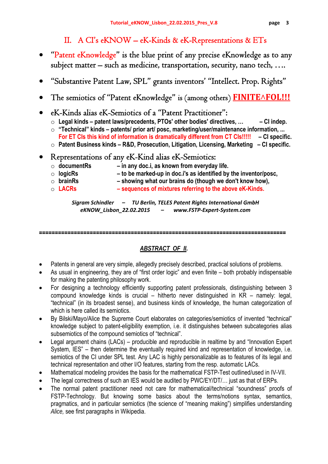## II. A CI's eKNOW – eK-Kinds & eK-Representations & ETs

- "Patent eKnowledge" is the blue print of any precise eKnowledge as to any subject matter – such as medicine, transportation, security, nano tech, ….
- "Substantive Patent Law, SPL" grants inventors' "Intellect. Prop. Rights"
- The semiotics of "Patent eKnowledge" is (among others) **FINITE**AFOL!!!
- eK-Kinds alias eK-Semiotics of a "Patent Practitioner":
	- o **Legal kinds patent laws/precedents, PTOs' other bodies' directives, … CI indep.**
	- o **"Technical" kinds patents/ prior art/ posc, marketing/user/maintenance information, ... For ET CIs this kind of information is dramatically different from CT CIs‼‼! – CI specific.**
	- o **Patent Business kinds R&D, Prosecution, Litigation, Licensing, Marketing CI specific.**

## Representations of any eK-Kind alias eK-Semiotics:

- o **documentRs in any doc.i, as known from everyday life.**
- o **logicRs to be marked-up in doc.i's as identified by the inventor/posc,**
- o **brainRs showing what our brains do (though we don't know how),**
- o **LACRs sequences of mixtures referring to the above eK-Kinds.**

*Sigram Schindler – TU Berlin, TELES Patent Rights International GmbH eKNOW\_Lisbon\_22.02.2015 – www.FSTP‐Expert‐System.com*

**==============================================================================** 

## *ABSTRACT OF II.*

- Patents in general are very simple, allegedly precisely described, practical solutions of problems.
- As usual in engineering, they are of "first order logic" and even finite both probably indispensable for making the patenting philosophy work.
- For designing a technology efficiently supporting patent professionals, distinguishing between 3 compound knowledge kinds is crucial – hitherto never distinguished in KR – namely: legal, "technical" (in its broadest sense), and business kinds of knowledge, the human categorization of which is here called its semiotics.
- By Bilski/Mayo/Alice the Supreme Court elaborates on categories/semiotics of invented "technical" knowledge subject to patent-eligibility exemption, i.e. it distinguishes between subcategories alias subsemiotics of the compound semiotics of "technical".
- Legal argument chains (LACs) producible and reproducible in realtime by and "Innovation Expert System, IES" – then determine the eventually required kind and representation of knowledge, i.e. semiotics of the CI under SPL test. Any LAC is highly personalizable as to features of its legal and technical representation and other I/O features, starting from the resp. automatic LACs.
- Mathematical modeling provides the basis for the mathematical FSTP-Test outlined/used in IV-VII.
- The legal correctness of such an IES would be audited by PWC/EY/DT/... just as that of ERPs.
- The normal patent practitioner need not care for mathematical/technical "soundness" proofs of FSTP-Technology. But knowing some basics about the terms/notions syntax, semantics, pragmatics, and in particular semiotics (the science of "meaning making") simplifies understanding *Alice,* see first paragraphs in Wikipedia.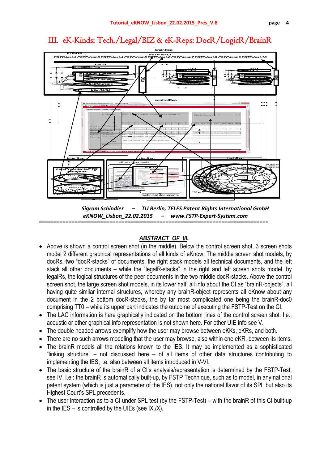## III. eK-Kinds: Tech./Legal/BIZ & eK-Reps: DocR/LogicR/BrainR



*Sigram Schindler – TU Berlin, TELES Patent Rights International GmbH eKNOW\_Lisbon\_22.02.2015 – www.FSTP‐Expert‐System.com* ==============================================================================

## *ABSTRACT OF III.*

- Above is shown a control screen shot (in the middle). Below the control screen shot, 3 screen shots model 2 different graphical representations of all kinds of eKnow. The middle screen shot models, by docRs, two "docR-stacks" of documents, the right stack models all technical documents, and the left stack all other documents – while the "legalR-stacks" in the right and left screen shots model, by legalRs, the logical structures of the peer documents in the two middle docR-stacks. Above the control screen shot, the large screen shot models, in its lower half, all info about the CI as "brainR-objects", all having quite similar internal structures, whereby any brainR-object represents all eKnow about any document in the 2 bottom docR-stacks, the by far most complicated one being the brainR-doc0 comprising TT0 – while its upper part indicates the outcome of executing the FSTP-Test on the CI.
- The LAC information is here graphically indicated on the bottom lines of the control screen shot. I.e., acoustic or other graphical info representation is not shown here. For other UIE info see V.
- The double headed arrows exemplify how the user may browse between eKKs, eKRs, and both.
- There are no such arrows modeling that the user may browse, also within one eKR, between its items.
- The brainR models all the relations known to the IES. It may be implemented as a sophisticated "linking structure" – not discussed here – of all items of other data structures contributing to implementing the IES, i.e. also between all items introduced in V-VI.
- The basic structure of the brainR of a CI's analysis/representation is determined by the FSTP-Test, see IV. I.e.: the brainR is automatically built-up, by FSTP Technique, such as to model, in any national patent system (which is just a parameter of the IES), not only the national flavor of its SPL but also its Highest Court's SPL precedents.
- The user interaction as to a CI under SPL test (by the FSTP-Test) with the brainR of this CI built-up in the IES – is controlled by the UIEs (see  $IX.X$ ).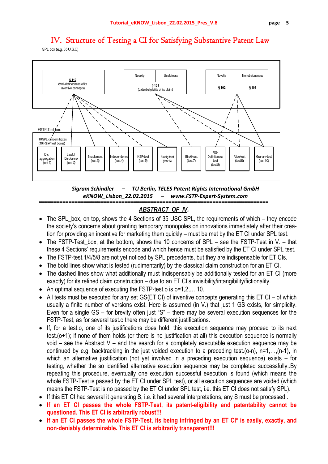

## IV. Structure of Testing a CI for Satisfying Substantive Patent Law

SPL box (e.g. 35 U.S.C)

*Sigram Schindler – TU Berlin, TELES Patent Rights International GmbH eKNOW\_Lisbon\_22.02.2015 – www.FSTP‐Expert‐System.com*

## *ABSTRACT OF IV.*

==============================================================================

- The SPL\_box, on top, shows the 4 Sections of 35 USC SPL, the requirements of which they encode the society's concerns about granting temporary monopoles on innovations immediately after their creation for providing an incentive for marketing them quickly – must be met by the ET CI under SPL test.
- $\bullet$  The FSTP-Test box, at the bottom, shows the 10 concerns of SPL see the FSTP-Test in V. that these 4 Sections' requirements encode and which hence must be satisfied by the ET CI under SPL test.
- The FSTP-test. 1/4/5/8 are not yet noticed by SPL precedents, but they are indispensable for ET CIs.
- The bold lines show what is tested (rudimentarily) by the classical claim construction for an ET CI.
- The dashed lines show what additionally must indispensably be additionally tested for an ET CI (more exactly) for its refined claim construction – due to an ET CI's invisibility/intangibility/fictionality.
- An optimal sequence of executing the FSTP-test o is o=1,2,...,10.
- All tests must be executed for any set GS(ET CI) of inventive concepts generating this ET CI of which usually a finite number of versions exist. Here is assumed (in V.) that just 1 GS exists, for simplicity. Even for a single GS – for brevity often just "S" – there may be several execution sequences for the FSTP-Test, as for several test.o there may be different justifications.
- If, for a test.o, one of its justifications does hold, this execution sequence may proceed to its next test.(o+1); if none of them holds (or there is no justification at all) this execution sequence is normally void  $-$  see the Abstract V – and the search for a completely executable execution sequence may be continued by e.g. backtracking in the just voided execution to a preceding test.(o-n), n=1,…,(n-1), in which an alternative justification (not yet involved in a preceding execution sequence) exists – for testing, whether the so identified alternative execution sequence may be completed successfully..By repeating this procedure, eventually one execution successful execution is found (which means the whole FSTP-Test is passed by the ET CI under SPL test), or all execution sequences are voided (which means the FSTP-Test is no passed by the ET CI under SPL test, i.e. this ET CI does not satisfy SPL).
- If this ET CI had several it generating S, i.e. it had several interpretations, any S must be processed..
- **If an ET CI passes the whole FSTP-Test, its patent-eligibility and patentability cannot be questioned. This ET CI is arbitrarily robust‼!**
- **If an ET CI passes the whole FSTP-Test, its being infringed by an ET CI\* is easily, exactly, and non-deniably determinable. This ET CI is arbitrarily transparent‼!**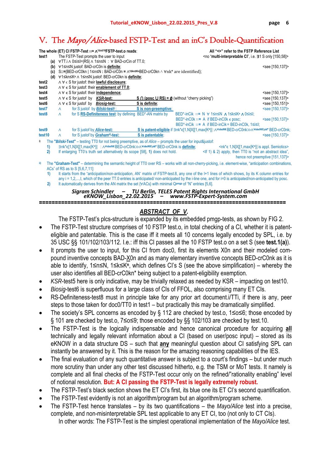## V. The Mayo/Alice-based FSTP-Test and an inC's Double-Quantification

| The whole (ET) CI FSTP-Test ::= $\Lambda^{1\leq \alpha \leq 10}$ FSTP-test.o reads: |                                                                                                                                                           |                                                        |                                                                                            |                                                                                                                         | All "<>" refer to the FSTP Reference List |                                                                                                                                                        |                                 |
|-------------------------------------------------------------------------------------|-----------------------------------------------------------------------------------------------------------------------------------------------------------|--------------------------------------------------------|--------------------------------------------------------------------------------------------|-------------------------------------------------------------------------------------------------------------------------|-------------------------------------------|--------------------------------------------------------------------------------------------------------------------------------------------------------|---------------------------------|
| test1                                                                               | The FSTP-Test prompts the user to input                                                                                                                   |                                                        |                                                                                            | <no "multi-interpretable="" 31="" [150,58]="" ci",="" i.e.="" only="" s=""></no>                                        |                                           |                                                                                                                                                        |                                 |
| (a)<br>(b)                                                                          |                                                                                                                                                           |                                                        | VTT i ∧ 0≤i≤I= RS  ∧ 1≤n≤N : V BAD-crCin of TT 0;<br>∀1≤n≤N justof: BAD-crC0n is definite; |                                                                                                                         |                                           |                                                                                                                                                        | <see [150,137]=""></see>        |
| (c)                                                                                 |                                                                                                                                                           |                                                        |                                                                                            | S::={BED-crC0kn   1≤n≤N : BAD-crC0n = $\Lambda$ <sup>1≤kn≤Kn</sup> BED-crC0kn $\land$ ∀nk <sup>*</sup> are identified}; |                                           |                                                                                                                                                        |                                 |
| (d)                                                                                 |                                                                                                                                                           |                                                        | ∀1≤kn≤Kn ∧ 1≤n≤N justof: BED-crC0kn is definite;                                           |                                                                                                                         |                                           |                                                                                                                                                        |                                 |
| test2                                                                               |                                                                                                                                                           |                                                        | $\wedge \forall \in S$ for justof: their lawful disclosure;                                |                                                                                                                         |                                           |                                                                                                                                                        |                                 |
| test3                                                                               |                                                                                                                                                           |                                                        | $\land \forall \in S$ for justof: their <b>enablement of TT.0</b> ;                        |                                                                                                                         |                                           |                                                                                                                                                        |                                 |
|                                                                                     |                                                                                                                                                           |                                                        |                                                                                            |                                                                                                                         |                                           |                                                                                                                                                        |                                 |
| test4                                                                               |                                                                                                                                                           |                                                        | ∧ ∀ ∈ S for justof: their <i>independence</i> ;                                            |                                                                                                                         |                                           |                                                                                                                                                        | <see [150,137]=""></see>        |
| test5                                                                               |                                                                                                                                                           | $\land \forall \in S$ for just of by <i>KSR</i> -test: |                                                                                            | $S \cap (pose \cup RS) = \emptyset$ (without "cherry picking")                                                          |                                           |                                                                                                                                                        | <see [150,137]=""></see>        |
| test6                                                                               |                                                                                                                                                           | ∧∀∈S for justof by <i>Biosiq</i> -test:                |                                                                                            | S is definite;                                                                                                          |                                           |                                                                                                                                                        | <see [150,151]=""></see>        |
| test7                                                                               | $\Lambda$                                                                                                                                                 | for S justof by <i>Bilski</i> -test <sup>i</sup> :     |                                                                                            | S is non-preemptive;                                                                                                    |                                           |                                                                                                                                                        | <see [150,137]=""></see>        |
| test <sub>8</sub>                                                                   | $\Lambda$                                                                                                                                                 |                                                        | for S RS-Definiteness test: by defining BED*-AN matrix by                                  |                                                                                                                         |                                           | BED*-inCik ::= N $\forall$ 1 sn $\land$ 1 sk s $Kn$ $\land$ 0 sis1;                                                                                    |                                 |
|                                                                                     |                                                                                                                                                           |                                                        |                                                                                            |                                                                                                                         |                                           | BED*-inC0k ::= A if BED-inC0k $\epsilon$ posc;                                                                                                         | <see [150,137]=""></see>        |
|                                                                                     |                                                                                                                                                           |                                                        |                                                                                            |                                                                                                                         |                                           | $BED^*$ -inCik ::= A if BED-inCik = BED-inC0k, $1 \le i \le l$ ;                                                                                       |                                 |
| test9                                                                               | $\Lambda$                                                                                                                                                 | for S justof by <i>Alice</i> -test:                    |                                                                                            |                                                                                                                         |                                           | S is patent-eligible if ∃nk* $\epsilon$ [1,N]X[[1,max{Kn}] : / VnkeNK BED-crC0nk>> / VnkeNK\nk* BED-crC0nk;                                            |                                 |
| test <sub>10</sub>                                                                  | $\Lambda$                                                                                                                                                 |                                                        | for S justof by <i>Graham</i> <sup>i</sup> )-test:                                         | S is patentable:                                                                                                        |                                           |                                                                                                                                                        | <see [150,137]=""></see>        |
| i)                                                                                  |                                                                                                                                                           |                                                        |                                                                                            |                                                                                                                         |                                           |                                                                                                                                                        |                                 |
|                                                                                     |                                                                                                                                                           |                                                        |                                                                                            | The "Bilski-Test" – testing TT0 for not being preemptive, as of $Alice$ – prompts the user for input&justof:            |                                           |                                                                                                                                                        |                                 |
| 1)                                                                                  |                                                                                                                                                           |                                                        |                                                                                            | ∃nk*e[1,N]X[[1,max{Kn}]: A VnkeNK BED-crC0nk>>A VnkeNK\nk* BED-crC0nk is definite;                                      |                                           | $\leq n$ k* $\in$ 1, N]X[[1, max{K <sup>n</sup> }] is appl. Semiotics>                                                                                 |                                 |
| 2)                                                                                  |                                                                                                                                                           |                                                        |                                                                                            | If enlarging TT0's truth set alternatively its scope [58], 1) does not hold.                                            |                                           | $\leq$ (f 1) & 2) apply, then TT0 is "not an abstract idea",                                                                                           |                                 |
|                                                                                     |                                                                                                                                                           |                                                        |                                                                                            |                                                                                                                         |                                           |                                                                                                                                                        | hence not preemptive [151,137]> |
| ii)                                                                                 |                                                                                                                                                           |                                                        |                                                                                            |                                                                                                                         |                                           | The "Graham-Test" – determining the semantic height of TT0 over RS – works with all non-cherry-picking, i.e. element-wise, "anticipation combinations, |                                 |
|                                                                                     |                                                                                                                                                           | ACs" of RS as to S [5,6,7,11]:                         |                                                                                            |                                                                                                                         |                                           |                                                                                                                                                        |                                 |
| 1)                                                                                  |                                                                                                                                                           |                                                        |                                                                                            |                                                                                                                         |                                           | It starts from the "anticipation/non-anticipation, AN" matrix of FSTP-test.8, any one of the I+1 lines of which shows, by its K column entries for     |                                 |
|                                                                                     | $any$ i = 1,2,,,, which of the peer TT.0 entries is anticipated/ non-anticipated by the i-line one, and for $i=0$ is anticipated/non-anticipated by posc. |                                                        |                                                                                            |                                                                                                                         |                                           |                                                                                                                                                        |                                 |
| 2)                                                                                  |                                                                                                                                                           |                                                        |                                                                                            | It automatically derives from the AN matrix the set $\forall$ ACs} with minimal Q <sup>pmgp</sup> of "N" entries [5,6]. |                                           |                                                                                                                                                        |                                 |

*Sigram Schindler – TU Berlin, TELES Patent Rights International GmbH eKNOW\_Lisbon\_22.02.2015 – www.FSTP‐Expert‐System.com* **==============================================================================** 

## *ABSTRACT OF V.*

The FSTP-Test's plcs-structure is expanded by its embedded pmgp-tests, as shown by FIG 2.

- The FSTP-Test structure comprises of 10 FSTP test.o, in total checking of a CI, whether it is patenteligible and patentable. This is the case iff it meets all 10 concerns legally encoded by SPL, i.e. by 35 USC §§ 101/102/103/112. I.e.: iff this CI passes all the 10 FSTP test.o on a set S (see **test.1(a)**).
- It prompts the user to input, for this CI from doc0, first its elements X0n and their modeled compound inventive concepts BAD-X0n and as many elementary inventive concepts BED-crC0nk as it is able to identify, 1≤n≤N, 1≤k≤K**n**, which defines CI's S (see the above simplification) – whereby the user also identifies all BED-crC0kn\* being subject to a patent-eligibility exemption.
- *KSR*-test5 here is only indicative, may be trivially relaxed as needed by KSR impacting on test10.
- *Biosig*-test6 is superfluous for a large class of CIs of FFOL, also comprising many ET CIs.
- RS-Definiteness-test8 must in principle take for any prior art document.i/TTi, if there is any, peer steps to those taken for doc0/TT0 in test1 – but practically this may be dramatically simplified.
- The society's SPL concerns as encoded by § 112 are checked by test.o, 1≤o≤6; those encoded by § 101 are checked by test.o, 7≤o≤9; those encoded by §§ 102/103 are checked by test.10.
- The FSTP-Test is the logically indispensable and hence canonical procedure for acquiring **all** technically and legally relevant information about a CI (based on user/posc input) – stored as its eKNOW in a data structure DS – such that **any** meaningful question about CI satisfying SPL can instantly be answered by it. This is the reason for the amazing reasoning capabilities of the IES.
- The final evaluation of any such quantitative answer is subject to a court's findings but under much more scrutiny than under any other test discussed hitherto, e.g. the TSM or MoT tests. It namely is complete and all final checks of the FSTP-Test occur only on the refined/"rationality enabling" level of notional resolution. **But: A CI passing the FSTP-Test is legally extremely robust.**
- The FSTP-Test's black section shows the ET CI's first, its blue one its ET CI's second quantification.
- The FSTP-Test evidently is not an algorithm/program but an algorithm/program scheme.
- The FSTP-Test hence translates by its two quantifications the *Mayo/Alice* test into a precise, complete, and non-misinterpretable SPL test applicable to any ET CI, too (not only to CT CIs). In other words: The FSTP-Test is the simplest operational implementation of the *Mayo/Alice* test.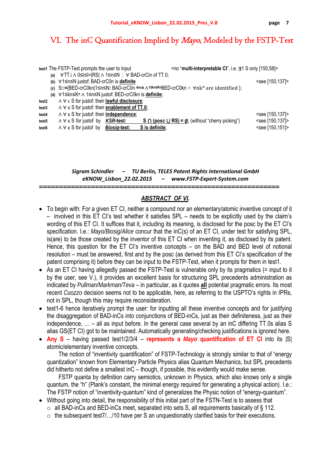## VI. The inC Quantification Implied by *Mayo*, Modeled by the FSTP-Test

|                   |     | <no "multi-interpretable="" [150,58]="" cl",="" i.e.="" only="" s="" ∃1=""><br/>test1 The FSTP-Test prompts the user to input</no> |                          |
|-------------------|-----|------------------------------------------------------------------------------------------------------------------------------------|--------------------------|
|                   | (a) | ∀TT.i∧0≤i≤I= RS ∧1≤n≤N : ∀BAD-crCin of TT.0;                                                                                       |                          |
|                   |     | (b) ∀1≤n≤N justof: BAD-crC0n is definite                                                                                           | <see [150,137]=""></see> |
|                   |     | (c) S::={BED-crC0kn 1≤n≤N: BAD-crC0n duc= $\wedge$ 1≤kn≤KnBED-crC0kn $\wedge$ $\forall$ nk* are identified };                      |                          |
|                   |     | (d) ∀1≤kn≤K <sup>n</sup> ∧ 1≤n≤N justof: BED-crC0kn is <i>definite</i> ;                                                           |                          |
| test2             |     | $\wedge \forall \in S$ for justof: their <b>lawful disclosure</b> ;                                                                |                          |
| test3             |     | $\land \forall \in S$ for justof: their enablement of TT.0;                                                                        |                          |
| test4             |     | ∧ ∀ ∈ S for justof: their <i>independence</i> ;                                                                                    | <see [150,137]=""></see> |
| test5             |     | $\land \forall \in S$ for just of by <i>KSR</i> -test:<br>S $\cap$ (posc U RS) = $\emptyset$ ; (without "cherry picking")          | <see [150,137]=""></see> |
| test <sub>6</sub> |     | S is definite;<br>$\wedge \forall \in S$ for justof by <i>Biosig</i> -test:                                                        | <see [150,151]=""></see> |
|                   |     |                                                                                                                                    |                          |

#### *Sigram Schindler – TU Berlin, TELES Patent Rights International GmbH eKNOW\_Lisbon\_22.02.2015 – www.FSTP‐Expert‐System.com*

### *ABSTRACT OF VI.*

============================================================

- To begin with: For a given ET CI, neither a compound nor an elementary/atomic inventive concept of it – involved in this ET CI's test whether it satisfies SPL – needs to be explicitly used by the claim's wording of this ET CI. It suffices that it, including its meaning, is disclosed for the posc by the ET CI's specification. I.e.: *Mayo/Biosig/Alice* concur that the inC(s) of an ET CI, under test for satisfying SPL, is(are) to be those created by the inventor of this ET CI when inventing it, as disclosed by its patent. Hence, this question for the ET CI's inventive concepts – on the BAD and BED level of notional resolution – must be answered, first and by the posc (as derived from this ET CI's specification of the patent comprising it) before they can be input to the FSTP-Test, when it prompts for them in test1.
- As an ET CI having allegedly passed the FSTP-Test is vulnerable only by its pragmatics (= input to it by the user, see V.), it provides an excellent basis for structuring SPL precedents administration as indicated by *Pullman/Markman/Teva* – in particular, as it quotes **all** potential pragmatic errors. Its most recent *Cuozzo* decision seems not to be applicable, here, as referring to the USPTO's rights in IPRs, not in SPL, though this may require reconsideration.
- test1-6 hence iteratively prompt the user: for inputting all these inventive concepts and for justifying the disaggregation of BAD-inCs into conjunctions of BED-inCs, just as their definiteness, just as their independence, … – all as input before. In the general case several by an inC differing TT.0s alias S alias GS(ET CI) got to be maintained. Automatically generating/checking justifications is ignored here.
- **Any S** having passed test1/2/3/4 **represents a** *Mayo* **quantification of ET CI** into its |S| atomic/elementary inventive concepts.

The notion of "inventivity quantification" of FSTP-Technology is strongly similar to that of "energy quantization" known from Elementary Particle Physics alias Quantum Mechanics, but SPL precedents did hitherto not define a smallest inC – though, if possible, this evidently would make sense.

FSTP quanta by definition carry semiotics, unknown in Physics, which also knows only a single quantum, the "h" (Plank's constant, the minimal energy required for generating a physical action). I.e.: The FSTP notion of "inventivity-quantum" kind of generalizes the Physic notion of "energy-quantum".

- Without going into detail, the responsibility of this initial part of the FSTN-Test is to assess that
	- $\circ$  all BAD-inCs and BED-inCs meet, separated into sets S, all requirements basically of § 112.
	- $\circ$  the subsequent test7/.../10 have per S an unquestionably clarified basis for their executions.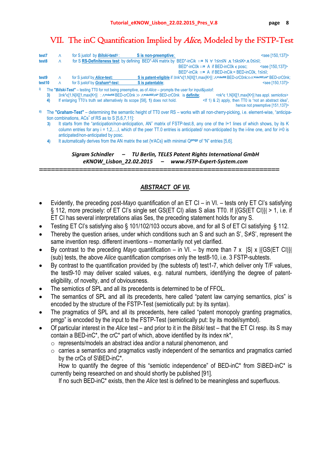VII. The inC Quantification Implied by *Alice*, Modeled by the FSTP-Test

| test7                                                                                                              | Λ | for S justof by <i>Bilski</i> -test <sup>i</sup> :                                                                                                                   | S is non-preemptive:                                                                                                        | <see [150,137]=""></see>                                                                                                                                             |  |  |
|--------------------------------------------------------------------------------------------------------------------|---|----------------------------------------------------------------------------------------------------------------------------------------------------------------------|-----------------------------------------------------------------------------------------------------------------------------|----------------------------------------------------------------------------------------------------------------------------------------------------------------------|--|--|
| test8                                                                                                              | Λ |                                                                                                                                                                      | for S RS-Definiteness test: by defining BED*-AN matrix by BED*-inCik ::= N $\forall$ 1 Sn $\land$ 1 Sk SKn $\land$ 0 Si SI; |                                                                                                                                                                      |  |  |
|                                                                                                                    |   |                                                                                                                                                                      |                                                                                                                             | $BED^*$ -inC0k::= A if BED-inC0k $\epsilon$ posc;<br>$<$ see [150,137]>                                                                                              |  |  |
|                                                                                                                    |   |                                                                                                                                                                      |                                                                                                                             | $BED^*-inCik ::= A$ if $BED-inCik = BED-inC0k$ . $1 \le i \le k$ .                                                                                                   |  |  |
| test9                                                                                                              | Λ | for S justof by Alice-test:                                                                                                                                          |                                                                                                                             | S is patent-eligible if $\exists n k^* \in [1,N]X[[1,max{K^n}] \cdot \wedge^{\forall n k \in NN} BED\cdot c rC0n k \gg \wedge^{\forall n k \in NN}DEF$ . BED-crC0nk; |  |  |
| test10                                                                                                             | Λ | for S justof by <i>Graham</i> <sup>ii</sup> )-test:                                                                                                                  | S is patentable:                                                                                                            | <see [150,137]=""></see>                                                                                                                                             |  |  |
| i)<br>The "Bilski-Test" – testing TT0 for not being preemptive, as of $Alice$ – prompts the user for input&justof: |   |                                                                                                                                                                      |                                                                                                                             |                                                                                                                                                                      |  |  |
|                                                                                                                    |   | $\exists$ nk* $\epsilon$ [1,N]X[[1,max{K <sup>n</sup> }] : $\wedge$ <sup>vnkeNK</sup> BED-crC0nk $\gg \wedge$ <sup>vnkeNK</sup> \nk* BED-crC0nk is <b>definite</b> ; |                                                                                                                             | $\leq n$ k* $\epsilon$ 1, N X[[1, max $\{K^n\}$ ] has appl. semiotics>                                                                                               |  |  |
|                                                                                                                    |   | If enlarging TT0's truth set alternatively its scope [58], 1) does not hold.                                                                                         |                                                                                                                             | $\leq$ (f 1) & 2) apply, then TT0 is "not an abstract idea",                                                                                                         |  |  |

hence not preemptive [151,137]>

- **ii)** The **"***Graham***-Test"**  determining the semantic height of TT0 over RS works with all non-cherry-picking, i.e. element-wise, "anticipation combinations, ACs<sup>"</sup> of RS as to S [5,6,7,11]:
	- **3)** It starts from the "anticipation/non-anticipation, AN**"** matrix of FSTP-test.8, any one of the I+1 lines of which shows, by its K column entries for any i = 1,2,...,I, which of the peer TT.0 entries is anticipated/ non-anticipated by the i-line one, and for i=0 is anticipated/non-anticipated by posc.
	- **4)** It automatically derives from the AN matrix the set {∀ACs} with minimal Q**pmgp** of "N" entries [5,6].

*Sigram Schindler – TU Berlin, TELES Patent Rights International GmbH eKNOW\_Lisbon\_22.02.2015 – www.FSTP‐Expert‐System.com*

============================================================

### *ABSTRACT OF VII.*

- Evidently, the preceding post-*Mayo* quantification of an ET CI in VI. tests only ET CI's satisfying § 112, more precisely: of ET CI's single set GS(ET CI) alias S alias TT0. If |{GS(ET CI)}| > 1, i.e. if ET CI has several interpretations alias Ses, the preceding statement holds for any S.
- Testing ET CI's satisfying also § 101/102/103 occurs above, and for all S of ET CI satisfying § 112.
- Thereby the question arises, under which conditions such an S and such an S', S≠S', represent the same invention resp. different inventions – momentarily not yet clarified.
- By contrast to the preceding  $Mayo$  quantification in VI. by more than  $7 \times |S| \times |(GS(ET \text{ Cl})|)$ (sub) tests, the above *Alice* quantification comprises only the test8-10, i.e. 3 FSTP-subtests.
- By contrast to the quantification provided by (the subtests of) test1-7, which deliver only T/F values, the test9-10 may deliver scaled values, e.g. natural numbers, identifying the degree of patenteligibility, of novelty, and of obviousness.
- The semiotics of SPL and all its precedents is determined to be of FFOL.
- The semantics of SPL and all its precedents, here called "patent law carrying semantics, plcs" is encoded by the structure of the FSTP-Test (semiotically put: by its syntax).
- The pragmatics of SPL and all its precedents, here called "patent monopoly granting pragmatics, pmgp" is encoded by the input to the FSTP-Test (semiotically put: by its model/symbol).
- Of particular interest in the *Alice* test and prior to it in the *Bilski* test that the ET CI resp. its S may contain a BED-inC\*, the crC\* part of which, above identified by its index nk\*,
	- o represents/models an abstract idea and/or a natural phenomenon, and
	- o carries a semantics and pragmatics vastly independent of the semantics and pragmatics carried by the crCs of S\BED-inC\*.

How to quantify the degree of this "semiotic independence" of BED-inC\* from S\BED-inC\* is currently being researched on and should shortly be published [91].

If no such BED-inC\* exists, then the *Alice* test is defined to be meaningless and superfluous.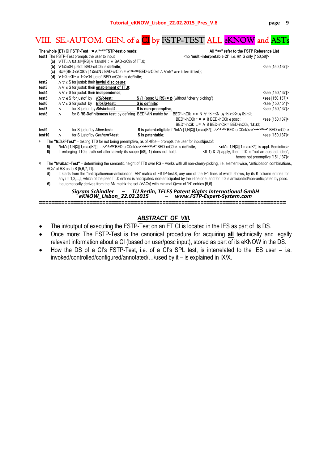## VIII. SE.-AUTOM. GEN. of a CI by FSTP-TEST ALL eKNOW and ASTs

| The whole (ET) CI FSTP-Test ::= $\Lambda^{1\leq o\leq 10}$ FSTP-test.o reads:                                                                            |                                                                                                                                                                                      |                                                                |                                                                                                                                                   | All "<>" refer to the FSTP Reference List                                                                            |                                                                                  |                                                                                                  |                          |
|----------------------------------------------------------------------------------------------------------------------------------------------------------|--------------------------------------------------------------------------------------------------------------------------------------------------------------------------------------|----------------------------------------------------------------|---------------------------------------------------------------------------------------------------------------------------------------------------|----------------------------------------------------------------------------------------------------------------------|----------------------------------------------------------------------------------|--------------------------------------------------------------------------------------------------|--------------------------|
| test1 The FSTP-Test prompts the user to input                                                                                                            |                                                                                                                                                                                      |                                                                |                                                                                                                                                   |                                                                                                                      | <no "multi-interpretable="" 31="" [150,58]="" ci",="" i.e.="" only="" s=""></no> |                                                                                                  |                          |
|                                                                                                                                                          |                                                                                                                                                                                      |                                                                | (a) $\forall$ TT i $\land$ 0 $\leq$ $\leq$ $\mid$ $=$ $\mid$ $\mid$ $\land$ 1 $\leq$ $\mid$ $\leq$ $\mid$ $\leq$ $\mid$ $\lor$ BAD-crCin of TT 0; |                                                                                                                      |                                                                                  |                                                                                                  |                          |
| (b)                                                                                                                                                      |                                                                                                                                                                                      | ∀1≤n≤N justof: BAD-crC0n is definite:                          |                                                                                                                                                   |                                                                                                                      |                                                                                  |                                                                                                  | <see [150,137]=""></see> |
| (c)                                                                                                                                                      |                                                                                                                                                                                      |                                                                |                                                                                                                                                   | S::={BED-crC0kn   1≤n≤N : BAD-crC0n = $\wedge$ <sup>1≤kn≤Kn</sup> BED-crC0kn $\wedge$ $\forall$ nk* are identified}; |                                                                                  |                                                                                                  |                          |
| (d)                                                                                                                                                      |                                                                                                                                                                                      |                                                                | ∀1≤kn≤Kn ∧ 1≤n≤N justof: BED-crC0kn is definite;                                                                                                  |                                                                                                                      |                                                                                  |                                                                                                  |                          |
| test2                                                                                                                                                    |                                                                                                                                                                                      |                                                                | ∧ ∀ ∈ S for justof: their lawful disclosure;                                                                                                      |                                                                                                                      |                                                                                  |                                                                                                  |                          |
| test3                                                                                                                                                    |                                                                                                                                                                                      |                                                                | $\land \forall \in S$ for justof: their <b>enablement of TT.0</b> ;                                                                               |                                                                                                                      |                                                                                  |                                                                                                  |                          |
| test4                                                                                                                                                    |                                                                                                                                                                                      | $\wedge \forall \in S$ for justof: their <b>independence</b> ; |                                                                                                                                                   |                                                                                                                      |                                                                                  |                                                                                                  | <see [150,137]=""></see> |
| test5                                                                                                                                                    |                                                                                                                                                                                      | $\wedge \forall \in S$ for just of by <i>KSR</i> -test:        |                                                                                                                                                   | S $\cap$ (posc U RS) = $\emptyset$ (without "cherry picking")                                                        |                                                                                  |                                                                                                  | <see [150,137]=""></see> |
| test6                                                                                                                                                    |                                                                                                                                                                                      | $\wedge \forall \in S$ for justof by <i>Biosiq</i> test:       |                                                                                                                                                   | S is definite:                                                                                                       |                                                                                  |                                                                                                  | <see [150,151]=""></see> |
| test7                                                                                                                                                    | $\wedge$                                                                                                                                                                             | for S justof by <i>Bilski</i> test <sup>i)</sup> :             |                                                                                                                                                   | S is non-preemptive;                                                                                                 |                                                                                  |                                                                                                  | <see [150,137]=""></see> |
| test8                                                                                                                                                    | $\wedge$                                                                                                                                                                             |                                                                |                                                                                                                                                   | for S RS-Definiteness test: by defining BED*-AN matrix by                                                            |                                                                                  | BED*-inCik ::= N ∀ 1≤n≤N ∧ 1≤k≤Kn ∧ 0≤i≤l;                                                       |                          |
|                                                                                                                                                          |                                                                                                                                                                                      |                                                                |                                                                                                                                                   |                                                                                                                      |                                                                                  | $BED^*-inC0k ::= A$ if BED-inC0k $\in$ posc:                                                     | <see [150,137]=""></see> |
|                                                                                                                                                          |                                                                                                                                                                                      |                                                                |                                                                                                                                                   |                                                                                                                      |                                                                                  | $BED^*$ -inCik ::= A if BED-inCik = BED-inC0k, $1 \le i \le 1$ ;                                 |                          |
| test9                                                                                                                                                    | $\wedge$                                                                                                                                                                             | for S justof by <i>Alice</i> -test:                            |                                                                                                                                                   |                                                                                                                      |                                                                                  | S is patent-eligible if 3nk*c[1,N]X[[1,max{Kn}] : / VnkeNK BED-crC0nk>> / VnkeNK\nk* BED-crC0nk; |                          |
| test10                                                                                                                                                   | $\wedge$                                                                                                                                                                             |                                                                | for S justof by Graham <sup>ii</sup> -test:                                                                                                       | S is patentable:                                                                                                     |                                                                                  |                                                                                                  | <see [150,137]=""></see> |
| i)                                                                                                                                                       |                                                                                                                                                                                      |                                                                |                                                                                                                                                   | The "Bilski-Test" – testing TT0 for not being preemptive, as of $Alice$ – prompts the user for input&justof:         |                                                                                  |                                                                                                  |                          |
| 5)                                                                                                                                                       | ∃nk*c[1,N]X[[1,max{Kn}] : ∧vnkeNKBED-crC0nk>>∧vnkeNK\nk*BED-crC0nk is definite;<br><nk*∈ 1,n]x[[1,max{kn}]="" appl.="" is="" semiotics=""></nk*∈>                                    |                                                                |                                                                                                                                                   |                                                                                                                      |                                                                                  |                                                                                                  |                          |
| 6)                                                                                                                                                       | If enlarging TT0's truth set alternatively its scope [58], 1) does not hold.<br><if "not="" &="" 1)="" 2)="" abstract="" an="" apply,="" idea",<="" is="" td="" then="" tt0=""></if> |                                                                |                                                                                                                                                   |                                                                                                                      |                                                                                  |                                                                                                  |                          |
| hence not preemptive [151,137]>                                                                                                                          |                                                                                                                                                                                      |                                                                |                                                                                                                                                   |                                                                                                                      |                                                                                  |                                                                                                  |                          |
| ii)                                                                                                                                                      | The "Graham Test" – determining the semantic height of TT0 over RS – works with all non-cherry-picking, i.e. element-wise, "anticipation combinations,                               |                                                                |                                                                                                                                                   |                                                                                                                      |                                                                                  |                                                                                                  |                          |
| ACs" of RS as to S [5,6,7,11]:                                                                                                                           |                                                                                                                                                                                      |                                                                |                                                                                                                                                   |                                                                                                                      |                                                                                  |                                                                                                  |                          |
| It starts from the "anticipation/non-anticipation, AN" matrix of FSTP-test.8, any one of the I+1 lines of which shows, by its K column entries for<br>5) |                                                                                                                                                                                      |                                                                |                                                                                                                                                   |                                                                                                                      |                                                                                  |                                                                                                  |                          |
|                                                                                                                                                          | $any$ i = 1,2,,,, which of the peer TT.0 entries is anticipated/ non-anticipated by the i-line one, and for i=0 is anticipated/non-anticipated by posc.                              |                                                                |                                                                                                                                                   |                                                                                                                      |                                                                                  |                                                                                                  |                          |
| 6)                                                                                                                                                       | It automatically derives from the AN matrix the set {∀ACs} with minimal QPmgP of "N" entries [5,6].                                                                                  |                                                                |                                                                                                                                                   |                                                                                                                      |                                                                                  |                                                                                                  |                          |
|                                                                                                                                                          |                                                                                                                                                                                      |                                                                |                                                                                                                                                   |                                                                                                                      |                                                                                  |                                                                                                  |                          |
|                                                                                                                                                          | - TU Berlin, TELES Patent Rights International GmbH<br>22.02.2015 - www.FSTP-Expert-System.com<br>Sigram Schindler<br>eKNOW Lisbon 22.02.2015                                        |                                                                |                                                                                                                                                   |                                                                                                                      |                                                                                  |                                                                                                  |                          |
|                                                                                                                                                          |                                                                                                                                                                                      |                                                                |                                                                                                                                                   |                                                                                                                      |                                                                                  |                                                                                                  |                          |

## *ABSTRACT OF VIII.*

**==============================================================================** 

- The in/output of executing the FSTP-Test on an ET CI is located in the IES as part of its DS.
- Once more: The FSTP-Test is the canonical procedure for acquiring **all** technically and legally relevant information about a CI (based on user/posc input), stored as part of its eKNOW in the DS.
- How the DS of a CI's FSTP-Test, i.e. of a CI's SPL test, is interrelated to the IES user i.e. invoked/controlled/configured/annotated/…/used by it – is explained in IX/X.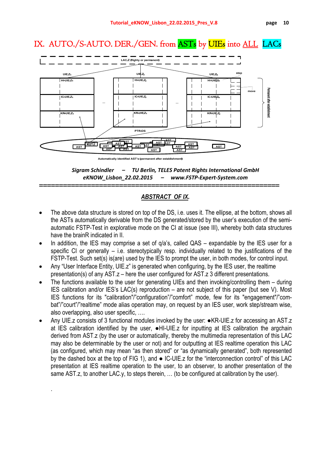IX. AUTO./S-AUTO. DER./GEN. from ASTs by UIEs into ALL LACs



*Sigram Schindler – TU Berlin, TELES Patent Rights International GmbH eKNOW\_Lisbon\_22.02.2015 – www.FSTP‐Expert‐System.com*

## *ABSTRACT OF IX.*

============================================================

- The above data structure is stored on top of the DS, i.e. uses it. The ellipse, at the bottom, shows all the ASTs automatically derivable from the DS generated/stored by the user's execution of the semiautomatic FSTP-Test in explorative mode on the CI at issue (see III), whereby both data structures have the brainR indicated in II.
- In addition, the IES may comprise a set of  $q/a$ 's, called QAS expandable by the IES user for a specific CI or generally – i.e. stereotypically resp. individually related to the justifications of the FSTP-Test. Such set(s) is(are) used by the IES to prompt the user, in both modes, for control input.
- Any "User Interface Entity, UIE.z" is generated when configuring, by the IES user, the realtime presentation(s) of any AST.z – here the user configured for AST.z 3 different presentations.
- The functions available to the user for generating UIEs and then invoking/controlling them during IES calibration and/or IES's LAC(s) reproduction – are not subject of this paper (but see V). Most IES functions for its "calibration"/"configuration"/"comfort" mode, few for its "engagement"/"combat"/"court"/"realtime" mode alias operation may, on request by an IES user, work step/stream wise, also overlapping, also user specific, ….
- Any UIE.z consists of 3 functional modules invoked by the user: ●KR-UIE.z for accessing an AST.z at IES calibration identified by the user, ●HI-UIE.z for inputting at IES calibration the argchain derived from AST.z (by the user or automatically, thereby the multimedia representation of this LAC may also be determinable by the user or not) and for outputting at IES realtime operation this LAC (as configured, which may mean "as then stored" or "as dynamically generated", both represented by the dashed box at the top of FIG 1), and ● IC-UIE.z for the "interconnection control" of this LAC presentation at IES realtime operation to the user, to an observer, to another presentation of the same AST.z, to another LAC.y, to steps therein, … (to be configured at calibration by the user).

.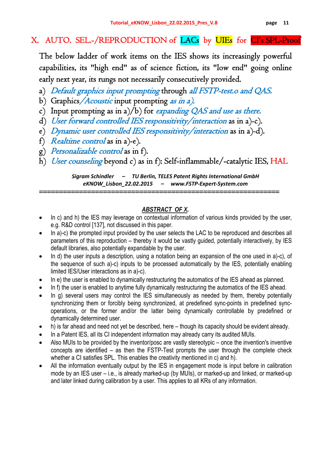## X. AUTO. SEL.-/REPRODUCTION of LACs by UIEs for CI's SPL-Proof

The below ladder of work items on the IES shows its increasingly powerful capabilities, its "high end" as of science fiction, its "low end" going online early next year, its rungs not necessarily consecutively provided.

- a) Default graphics input prompting through all FSTP-test.o and QAS.
- b) Graphics/Acoustic input prompting as in a).
- c) Input prompting as in a)/b) for expanding QAS and use as there.
- d) User forward controlled IES responsitivity/interaction as in a)-c).
- e) Dynamic user controlled IES responsitivity/interaction as in a)-d).
- f) Realtime control as in a)-e).
- g) Personalizable control as in f).
- h) User counseling beyond c) as in f): Self-inflammable/-catalytic IES, HAL

*Sigram Schindler – TU Berlin, TELES Patent Rights International GmbH eKNOW\_Lisbon\_22.02.2015 – www.FSTP‐Expert‐System.com* ============================================================

## *ABSTRACT OF X.*

- In c) and h) the IES may leverage on contextual information of various kinds provided by the user, e.g. R&D control [137], not discussed in this paper.
- In a)-c) the prompted input provided by the user selects the LAC to be reproduced and describes all parameters of this reproduction – thereby it would be vastly guided, potentially interactively, by IES default libraries, also potentially expandable by the user.
- In d) the user inputs a description, using a notation being an expansion of the one used in a)-c), of the sequence of such a)-c) inputs to be processed automatically by the IES, potentially enabling limited IES/User interactions as in a)-c).
- In e) the user is enabled to dynamically restructuring the automatics of the IES ahead as planned.
- In f) the user is enabled to anytime fully dynamically restructuring the automatics of the IES ahead.
- In g) several users may control the IES simultaneously as needed by them, thereby potentially synchronizing them or forcibly being synchronized, at predefined sync-points in predefined syncoperations, or the former and/or the latter being dynamically controllable by predefined or dynamically determined user.
- h) is far ahead and need not yet be described, here though its capacity should be evident already.
- In a Patent IES, all its CI independent information may already carry its audited MUIs.
- Also MUIs to be provided by the inventor/posc are vastly stereotypic once the invention's inventive concepts are identified – as then the FSTP-Test prompts the user through the complete check whether a CI satisfies SPL. This enables the creativity mentioned in c) and h).
- All the information eventually output by the IES in engagement mode is input before in calibration mode by an IES user – i.e., is already marked-up (by MUIs), or marked-up and linked, or marked-up and later linked during calibration by a user. This applies to all KRs of any information.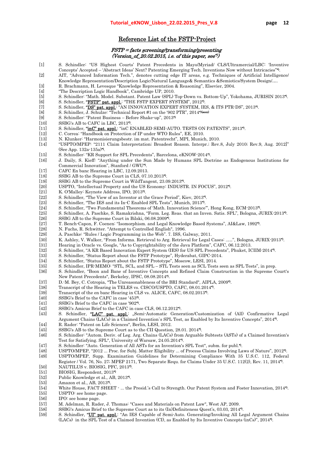#### Reference List of the FSTP-Project

#### FSTP = facts screening/transforming/presenting (Version\_of\_20.02.2015, i.e. of this paper, see")

- [1] S. Schindler: "US Highest Courts' Patent Precedents in Mayo/Myriad/ CLS/Ultramercial/LBC: 'Inventive Concepts' Accepted – 'Abstract Ideas' Next? Patenting Emerging Tech. Inventions Now without Intricacies"\*). [2] AIT, "Advanced Information Tech.", denotes cutting edge IT areas, e.g. Techniques of Artificial Intelligence/
- Knowledge Representation/Description Logic/Natural Language& Semantics &Semiotics/System Design/….
- [3] R. Brachmann, H. Levesque "Knowledge Representation & Reasoning", Elsevier, 2004.
- [4] "The Description Logic Handbook", Cambridge UP, 2010.
- [5] S. Schindler: "Math. Model. Substant. Patent Law (SPL) Top-Down vs. Bottom-Up", Yokohama, JURISIN 2013\*).
- [6] S. Schindler, **"FSTP" pat. appl.**: "THE FSTP EXPERT SYSTEM", 2012".
- [7] S. Schindler, "DS" pat. appl.: "AN INNOVATION EXPERT SYSTEM, IES, & ITS PTR-DS", 2013".
- [8] S. Schindler, J. Schulze: "Technical Report #1 on the '902 PTR", 2014\*<sup>160000</sup><br>[9] S. Schindler: "Patent Business Before Shake-up", 2013\*)
- [9] S. Schindler: "Patent Business Before Shake-up", 2013\*)
- [10] SSBG's AB to CAFC in LBC, 2013\*).
- [11] S. Schindler, "inC" pat. appl.<sup>:</sup> "inC ENABLED SEMI-AUTO. TESTS ON PATENTS", 2013".
- [12] C. Correa: "Handbook on Protection of IP under WTO Rules", EE, 2010.
- [13] N. Klunker: "Harmonisierungsbestr. im mat. Patentrecht", MPI, Munich, 2010.
- [14] "USPTO/MPEP: "2111 Claim Interpretation; Broadest Reason. Interpr.; Rev.8, July 2010; Rev.9, Aug. 2012]" (See App. 132a-135a)\*).
- [15] S. Schindler: "KR Support for SPL Precedents", Barcelona, eKNOW-2014\*).
- [16] J. Daily, S. Kieff: "Anything under the Sun Made by Humans SPL Doctrine as Endogenous Institutions for Commercial Innovation", Stanford / GWU\*).
- [17] CAFC En banc Hearing in LBC, 12.09.2013.
- [18] SSBG AB to the Supreme Court in CLS, 07.10.2013\*).
- [19] SSBG AB to the Supreme Court in WildTangent, 23.09.2013\*).
- [20] USPTO, "Intellectual Property and the US Economy: INDUSTR. IN FOCUS", 2012\*).
- [21] K. O'Malley: Keynote Address, IPO, 2013\*).
- [22] S. Schindler, "The View of an Inventor at the Grace Period", Kiev, 2013".<br>[23] S. Schindler, "The IES and its In-C Enabled SPL Tests", Munich, 2013".
- [23] S. Schindler, "The IES and its In-C Enabled SPL Tests", Munich, 2013\*).
- [24] S. Schindler, "Two Fundamental Theorems of 'Math. Innovation Science'", Hong Kong, ECM-2013\*).
- [25] S. Schindler, A. Paschke, S. Ramakrishna, "Form. Leg. Reas. that an Inven. Satis. SPL", Bologna, JURIX-2013\*).
- [26] SSBG AB to the Supreme Court in Bilski, 06.08.2009\*).
- [27] T. Bench-Capon, F. Coenen: "Isomorphism. and Legal Knowledge Based Systems", AI&Law, 1992\*).
- [28] N. Fuchs, R. Schwitter. "Attempt to Controlled English", 1996.<br>[29] A. Paschke: "Rules / Logic Programming in the Web". 7. ISS. G
- [29] A. Paschke: "Rules / Logic Programming in the Web". 7. ISS, Galway, 2011.
- [30] K. Ashley, V. Walker, "From Informa. Retrieval to Arg. Retrieval for Legal Cases: ..…", Bologna, JURIX-2013\*).
- [31] Hearing in Oracle vs. Google, "As to Copyrightability of the Java Platform", CAFC, 06.12.2013.
- [32] S. Schindler, "A KR Based Innovation Expert System (IES) for US SPL Precedents", Phuket, ICIIM-2014\*).
- [33] S. Schindler, "Status Report about the FSTP Prototype", Hyderabat, GIPC-2014.
- [34] S. Schindler, "Status Report about the FSTP Prototype", Moscow, LESI, 2014.
- [35] S. Schindler, IPR-MEMO: "STL, SCL, and SPL STL Tests seen as SCL Tests seen as SPL Tests", in prep.
- [36] S. Schindler, "Boon and Bane of Inventive Concepts and Refined Claim Construction in the Supreme Court's New Patent Precedents", Berkeley, IPSC, 08.08.2014\*).
- [37] D.-M. Bey, C. Cotropia, "The Unreasonableness of the BRI Standard", AIPLA, 2009\*).
- 
- [38] Transcript of the Hearing in TELES vs. CISCO/USPTO, CAFC, 08.01.2014<sup>\*)</sup>.<br>[39] Transcript of the en banc Hearing in CLS vs. ALICE, CAFC, 08.02.2013<sup>\*)</sup>. Transcript of the en banc Hearing in CLS vs. ALICE, CAFC, 08.02.2013<sup>\*</sup>.
- [40] SSBG's Brief to the CAFC in case '453\*).
- [41] SSBG's Brief to the CAFC in case '902'.
- [42] SSBG's Amicus Brief to the CAFC in case CLS, 06.12.2012\*).

[43] S. Schindler, "LAC" pat. appl.: "Semi-Automatic Generation/Customization of (All) Confirmative Legal Argument Chains (LACs) in a Claimed Invention`s SPL Test, as Enabled by Its Inventive Concepts", 2014\*).

- [44] R. Rader: "Patent on Life Sciences", Berlin, LESI, 2012.
- SSBG's AB to the Supreme Court as to the CII Question, 28.01. 2014<sup>\*</sup>.
- [46] S. Schindler: "Autom. Deriv. of Leg. Arg. Chains (LACs) from Arguable Subtests (ASTs) of a Claimed Invention's Test for Satisfying. SPL", University of Warsaw, 24.05.2014\*).
- [47] S. Schindler: "Auto. Generation of All ASTs for an Invention's SPL Test", subm. for publ.\*).
- [48] USPTO/MPEP, "2012 ... Proc. for Subj. Matter Eligibility ... of Process Claims Involving Laws of Nature", 2012\*).
- [49] USPTO/MPEP, Supp. Examination Guidelines for Determining Compliance With 35 U.S.C. 112, Federal Register / Vol. 76, No. 27; MPEP 2171, Two Separate Requ. for Claims Under 35 U.S.C. 112(2), Rev. 11, 2014\*). [50] NAUTILUS v. BIOSIG, PFC, 2013\*).
- 
- [51] BIOSIG, Respondent, 2013<sup>\*</sup>)<br>[52] Public Knowledge et al., AB. Public Knowledge et al., AB, 2013\*).
- [53] Amazon et al., AB, 2013\*).
- [54] White House, FACT SHEET ... the Presid.'s Call to Strength. Our Patent System and Foster Innovation, 2014\*). [55] USPTO: see home page.
- 
- [56] IPO: see home page.<br>[57] M. Adelman, R. Rad [57] M. Adelman, R. Rader, J. Thomas: "Cases and Materials on Patent Law", West AP, 2009.
- [58] SSBG's Amicus Brief to the Supreme Court as to its (In)Definiteness Quest's, 03.03, 2014<sup>9</sup>.<br>[59] S. Schindler "**UI" pat. appl.**: "An IES Capable of Semi-Auto Generating/Invoking All Le
- S. Schindler, "UI" pat. appl.: "An IES Capable of Semi-Auto. Generating/Invoking All Legal Argument Chains (LACs) in the SPL Test of a Claimed Invention (CI), as Enabled by Its Inventive Concepts (inCs)", 2014\*).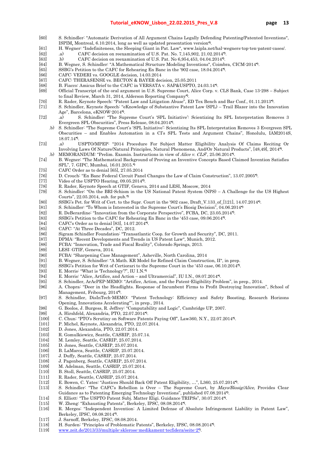- [60] S. Schindler: "Automatic Derivation of All Argument Chains Legally Defending Patenting/Patented Inventions", ISPIM, Montreal, 6.10.2014, long as well as updated presentation version\*).
- [61] H. Wegner: "Indefiniteness, the Sleeping Giant in Pat. Law", www.laipla.net/hal-wegners-top-ten-patent-cases/.
- [62] .a) CAFC decision on reexamination of U.S. Pat. No. 7,145,902, 21.02.2014\*).
- [63] .b) CAFC decision on reexamination of U.S. Pat. No 6,954,453, 04.04.2014\*).
- [64] B. Wegner, S. Schindler: "A Mathematical Structure Modeling Inventions", Coimbra, CICM-2014\*).
- [65] SSBG's Petition to the CAFC for Rehearing En Banc in the '902 case, 18.04.2014\*).
- [66] CAFC: VEDERI vs. GOOGLE decision, 14.03.2014
- [67] CAFC: THERASENSE vs. BECTON & BAYER decision, 25.05.2011
- [68] B. Fiacco: Amicus Brief to the CAFC in VERSATA v. SAP&USPTO, 24.03.14<sup>\*</sup>).
- [69] Official Transcript of the oral argument in U.S. Supreme Court, Alice Corp. v. CLS Bank, Case 13-298 Subject to final Review, March 31, 2014, Alderson Reporting Company\*).
- [70] R. Rader, Keynote Speech: "Patent Law and Litigation Abuse", ED Tex Bench and Bar Conf., 01.11.2013\*).
- [71] S. Schindler, Keynote Speech: "eKnowledge of Substantive Patent Law (SPL) Trail Blazer into the Innovation Age", Barcelona, eKNOW-2014\*).
- [72] .a) S. Schindler: "The Supreme Court's 'SPL Initiative': Scientizing Its SPL Interpretation Removes 3 Evergreen SPL Obscurities", Press Release, 08.04.2014\*).
- .b) S. Schindler: "The Supreme Court's 'SPL Initiative': Scientizing Its SPL Interpretation Removes 3 Evergreen SPL Obscurities – and Enables Automation in a CI's SPL Tests and Argument Chains", Honolulu, IAM2014S, 18.07.14\*).
- [73] .a) USPTO/MPEP: "2014 Procedure For Subject Matter Eligibility Analysis Of Claims Reciting Or Involving Laws Of Nature/Natural Principles, Natural Phenomena, And/Or Natural Products", [48,49], 2014\*). .b) MEMORANDUM: "Prelim. Examin. Instructions in view of Alice v. CLS", 25.06.2014\*).
- [74] B. Wegner: "The Mathematical Background of Proving an Inventive Concepts Based Claimed Invention Satisfies
- SPL", 7. GIPC, Mumbai, 16.01.2015.<sup>\*</sup>
- [75] CAFC Order as to denial [65], 27.05.2014
- [76] D. Crouch: "En Banc Federal Circuit Panel Changes the Law of Claim Construction", 13.07.2005\*).
- [77] Video of the USPTO Hearing, 09.05.2014<sup>\*</sup>).
- [78] R. Rader, Keynote Speech at GTIF, Geneva, 2014 and LESI, Moscow, 2014
- [79] S. Schindler: "On the BRI-Schism in the US National Patent System (NPS) A Challenge for the US Highest Courts", 22.05.2014, sub. for pub.\*)
- [80] SSBG's Pet. for Writ of Cert. to the Supr. Court in the '902 case, Draft\_V.133\_of\_[121], 14.07.2014\*).<br>[81] S. Schindler: "To Whom is Interested in the Supreme Court's Biosig Decision", 04.06.2014\*).
- S. Schindler: "To Whom is Interested in the Supreme Court's Biosig Decision", 04.06.2014\*)
- [82] R. DeBerardine: "Innovation from the Corporate Perspective", FCBA, DC, 23.05.2014\*).
- [83] SSBG's Petition to the CAFC for Rehearing En Banc in the '453 case, 09.06.2014\*).
- [84] CAFC's Order as to denial [83], 14.07.2014\*).
- [85] CAFC: "At Three Decades", DC, 2012.<br>[86] Sigram Schindler Foundation: "Transa
- Sigram Schindler Foundation: "Transatlantic Coop. for Growth and Security", DC, 2011.
- [87] DPMA: "Recent Developments and Trends in US Patent Law", Munich, 2012.
- [88] FCBA: "Innovation, Trade and Fiscal Reality", Colorado Springs, 2013.
- [89] LESI: GTIF, Geneva, 2014.
- [90] FCBA: "Sharpening Case Management", Asheville, North Carolina, 2014
- [91] B. Wegner, S. Schindler: "A Math. KR Model for Refined Claim Construction, II", in prep.
- [92] SSBG's Petition for Writ of Certiorari to the Supreme Court in the '453 case, 06.10.2014\*).
- E. Morris: "What is 'Technology'?", IU I.N."
- [94] E. Morris: "Alice, Artifice, and Action and Ultramercial", IU I.N., 08.07.2014\*).
- [95] S. Schindler, ArAcPEP-MEMO: "Artifice, Action, and the Patent-Eligibility Problem", in prep., 2014.
- [96] A. Chopra: "Deer in the Headlights. Response of Incumbent Firms to Profit Destroying Innovation", School of Management, Fribourg, 2014<sup>\*</sup>).
- [97] S. Schindler, DisInTech-MEMO: "Patent Technology: Efficiency and Safety Boosting, Research Horizons Opening, Innovations Accelerating"", in prep., 2014.
- [98] G. Boolos, J. Burgess, R. Jeffrey: "Computability and Logic", Cambridge UP, 2007.
- [99] A. Hirshfeld, Alexandria, PTO, 22.07.2014\*).
- [100] C. Chun: "PTO's Scrutiny on Software Patents Paying Off", Law360, N.Y., 22.07.2014\*).
- [101] P. Michel, Keynote, Alexandria, PTO, 22.07.2014.<br>[102] D. Jones, Alexandria, PTO, 22.07.2014.
- [102] D. Jones, Alexandria, PTO, 22.07.2014.
- [103] R. Gomulkiewicz, Seattle, CASRIP, 25.07.14.
- [104] M. Lemley, Seattle, CASRIP, 25.07.2014.
- [105] D. Jones, Seattle, CASRIP, 25.07.2014.
- [106] B. LaMarca, Seattle, CASRIP, 25.07.2014.
- [107] J. Duffy, Seattle, CASRIP, 25.07.2014.
- [108] J. Pagenberg, Seattle, CASRIP, 25.07.2014.
- [109] M. Adelman, Seattle, CASRIP, 25.07.2014.
- [110] B. Stoll, Seattle, CASRIP, 25.07.2014.
- [111] R. Rader, Seattle, CASRIP, 25.07.2014.<br>[112] E. Bowen, C. Yates: "Justices Should B.
- E. Bowen, C. Yates: "Justices Should Back Off Patent Eligibility, ...", L360, 25.07.2014\*).
- [113] S. Schindler: "The CAFC's Rebellion is Over The Supreme Court, by Mayo/Biosig/Alice, Provides Clear Guidance as to Patenting Emerging Technology Inventions", published 07.08.2014\*).
- [114] S. Elliott: "The USPTO Patent Subj. Matter Eligi. Guidance TRIPSs", 30.07.2014\*).
- [115] W. Zheng: "Exhausting Patents", Berkeley, IPSC, 08.08.2014\*).
- R. Merges: "Independent Invention: A Limited Defense of Absolute Infringement Liability in Patent Law", Berkeley, IPSC, 08.08.2014\*).
- [117] J. Sarnoff, Berkeley, IPSC, 08.08.2014.
- [118] H. Surden: "Principles of Problematic Patents", Berkeley, IPSC, 08.08.2014\*).
- [119] www.zeit.de/2013/33/multiple-sklerose-medikament-tecfidera/seite-2<sup>\*</sup>).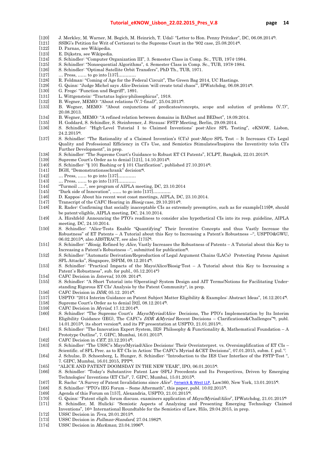- [120] J. Merkley, M. Warner, M. Begich, M. Heinrich, T. Udal: "Letter to Hon. Penny Pritzker", DC, 06.08.2014\*).
- [121] SSBG's Petition for Writ of Certiorari to the Supreme Court in the '902 case, 25.08.2014\*).
- [122] D. Parnas, see Wikipedia.
- [123] E. Dijkstra, see Wikipedia.
- [124] S. Schindler: "Computer Organization III", 3. Semester Class in Comp. Sc., TUB, 1974-1984.
- [125] S. Schindler: "Nonsequential Algorithms", 4. Semester Class in Comp. Sc., TUB, 1978-1984.
- [126] S. Schindler: "Optimal Satellite Orbit Transfers", PhD Th., TUB, 1971.
- [127] … Press, …… to go into [137]...........
- [128] R. Feldman: "Coming of Age for the Federal Circuit", The Green Bag 2014, UC Hastings.
- [129] G. Quinn: "Judge Michel says Alice Decision 'will create total chaos'", IPWatchdog, 06.08.2014\*).
- [130] G. Frege: "Function und Begriff", 1891.
- [131] L. Wittgenstein: "Tractatus logico-philosophicus", 1918.
- [132] B. Wegner, MEMO: "About relations (V.7-final)", 25.04.2013".<br>[133] B. Wegner, MEMO: "About conjunctions of predicates/cc
- [133] B. Wegner, MEMO: "About conjunctions of predicates/concepts, scope and solution of problems (V.7)", 20.08.2013.
- [134] B. Wegner, MEMO: "A refined relation between domains in BADset and BEDset", 18.09.2014.
- [135] H. Goddard, S. Schindler, S. Steinbrener, J. Strauss: FSTP Meeting, Berlin, 29.09.2014.
- [136] S. Schindler: "High-Level Tutorial I to Claimed Inventions' post-Alice SPL Testing", eKNOW, Lisbon, 24.2.2015\*).
- [137] S. Schindler: "The Rationality of a Claimed Invention's (CI's) post-Mayo SPL Test It Increases CI's Legal Quality and Professional Efficiency in CI's Use, and Semiotics Stimulates/Inspires the Inventivity to/in CI's Further Development", in prep.
- [138] S. Schindler: "The Supreme Court's Guidance to Robust ET CI Patents", ICLPT, Bangkok, 22.01.2015\*).
- [139] Supreme Court's Order as to denial [121], 14.10.2014\*).
- [140] S. Schindler: "§ 101 Bashing or § 101 Clarification", published 27.10.2014\*).
- [141] BGH, "Demonstrationsschrank" decision\*).
- [142] … Press, …… to go into [137]...........
- [143] … Press, …… to go into [137]...........
- [144] "Turmoil …..", see program of AIPLA meeting, DC, 23.10.2014
- [145] "Dark side of Innovation", ...... to go into [137]...<br>[146] D. Kappos: About his recent west coast meetings
- D. Kappos: About his recent west coast meetings, AIPLA, DC, 23.10.2014.
- [147] Transcript of the CAFC Hearing in *Biosig* case, 29.10.2014<sup>\*</sup>).<br>[148] R. Rader: Confirming that socially inacceptable CIs as extre
- R. Rader: Confirming that socially inacceptable CIs as extremely preemptive, such as for example[119]<sup>2</sup>, should be patent-eligible, AIPLA meeting, DC, 24.10.2014.
- [149] A. Hirshfeld: Announcing the PTO's readiness to consider also hypothetical CIs into its resp. guideline, AIPLA meeting, DC, 24.10.2014.
- [150] S. Schindler: "Alice-Tests Enable "Quantifying" Their Inventive Concepts and thus Vastly Increase the Robustness" of ET Patents – A Tutorial about this Key to Increasing a Patent's Robustness –", USPTO&GWU, 06.02.2015\*), also ABSTRACT, see also [175]\*).
- [151] S. Schindler: "Biosig, Refined by Alice, Vastly Increases the Robustness of Patents A Tutorial about this Key to Increasing a Patent's Robustness –", submitted for publication\*).
- [152] S. Schindler: "Automatic Derivation/Reproduction of Legal Argument Chains (LACs) Protecting Patens Against SPL Attacks", Singapore, ISPIM, 09.12.2014\*).
- [153] S. Schindler: "Practical Impacts of the Mayo/Alice/Biosig-Test A Tutorial about this Key to Increasing a Patent`s Robustness", sub. for publ., 05.12.2014\*)
- [154] CAFC Decision in *Interval*, 10.09. 2014<sup>\*</sup>).
- [155] S. Schindler: "A Short Tutorial into (Operating) System Design and AIT Terms/Notions for Facilitating Understanding Rigorous ET CIs' Analysis by the Patent Community", in prep.
- [156] CAFC Decision in  $DDR$ , 05.12. 2014<sup>\*</sup>.<br>[157] USPTO: "2014 Interim Guidance on P
- [157] USPTO: "2014 Interim Guidance on Patent Subject Matter Eligibility & Examples: Abstract Ideas", 16.12.2014\*).
- [158] Supreme Court's Order as to denial [92], 08.12.2014\*).
- [159] CAFC Decision in Myriad, 17.12.2014\*).
- [160] S. Schindler: "The Supreme Court's Mayo/Myriad/Alice Decisions, The PTO's Implementation by Its Interim Eligibility Guidance (IEG), The CAFC's *DDR &Myriad* Recent Decisions – Clarifications&Challenges"<sup>\*</sup>), publ. 14.01.2015\*), its short version\*), and its PP presentation at USPTO, 21.01.2015\*)..
- [161] S. Schindler: "The Innovation Expert System, IES: Philosophy & Functionality &, Mathematical Foundation A Prototype Outline", 7. GIPC, Mumbai, 16.01.2015\*).
- [162] CAFC Decision in *CET*, 23.12.2014<sup>\*</sup>).
- [163] S. Schindler: "The USSC's Mayo/Myriad/Alice Decisions: Their Overinterpret. vs. Oversimplification of ET CIs –
- Scientific. of SPL Prec. as to ET CIs in Action: The CAFC's Myriad &CET Decisions", 07.01.2015, subm. f. pul.<sup>\*</sup>. [164] J. Schulze, D. Schoenberg, L. Hunger, S. Schindler: "Introduction to the IES User Interface of the FSTP-Test ",
- 7. GIPC, Mumbai, 16.01.2015, PPP\*).
- [165] "ALICE AND PATENT DOOMSDAY IN THE NEW YEAR", IPO, 06.01.2015\*).
- [166] S. Schindler: "Today's Substantive Patent Law (SPL) Precedents and Its Perspectives, Driven by Emerging Technologies' Inventions (ET CIs)", 7. GIPC, Mumbai, 15.01.2015\*).
- [167] R. Sachs: "A Survey of Patent Invalidations since Alice". Fenwick & West LLP, Law360, New York, 13.01.2015".
- [168] S. Schindler: "PTO's IEG Forum Some Aftermath", this paper, publ. 10.02.2015\*).
- [169] Agenda of this Forum on [157], Alexandria, USPTO, 21.01.2015\*).
- [170] G. Quinn: "Patent eligib. forum discuss. examiners application of Mayo/Myriad/Alice", IPWatchdog, 21.01.2015\*)
- [171] S. Schindler, M. Hulicki: "Semiotic Aspects of Analyzing and Presenting Emerging Technology Claimed Inventions", 16th International Roundtable for the Semiotics of Law, Hilo, 29.04.2015, in prep.
- [172] USSC Decision in *Teva*, 20.01.2015<sup>\*</sup>).
- [173] USSC Decision in Pullman-Standard, 27.04.1982\*).
- [174] USSC Decision in Markman, 23.04.1996\*).